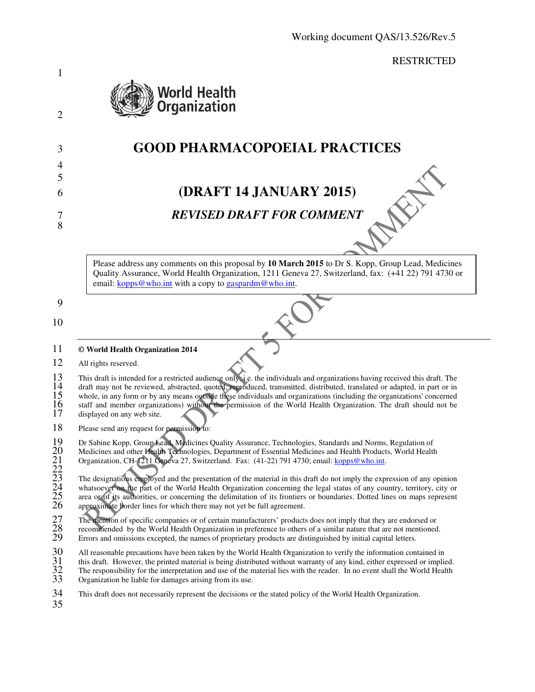RESTRICTED



# 3 **GOOD PHARMACOPOEIAL PRACTICES**

# 6 **(DRAFT 14 JANUARY 2015)**

# 7 *REVISED DRAFT FOR COMMENT*

Please address any comments on this proposal by **10 March 2015** to Dr S. Kopp, Group Lead, Medicines Quality Assurance, World Health Organization, 1211 Geneva 27, Switzerland, fax: (+41 22) 791 4730 or email: kopps@who.int with a copy to gaspardm@who.int.

9

1

2

4 5

8

10

#### 11 **© World Health Organization 2014**

12 All rights reserved.

13 This draft is intended for a restricted audience only, i.e. the individuals and organizations having received this draft. The 14 draft may not be reviewed, abstracted, quoted, reproduced, transmitted, distributed, translated or adapted, in part or in 14 draft may not be reviewed, abstracted addictive omystic. the individuals and organizations having received this urat. The<br>15 whole, in any form or by any means outside these individuals and organizations (including the 16 staff and member organizations) without the permission of the World Health Organization. The draft should not be displayed on any web site. displayed on any web site.

18 Please send any request for permission to:

Dr Sabine Kopp, Group Lead, Medicines Quality Assurance, Technologies, Standards and Norms, Regulation of Medicines and other Health Technologies, Department of Essential Medicines and Health Products, World Health

Organization, CH-1211 Geneva 27, Switzerland. Fax: (41-22) 791 4730; email: kopps@who.int.

19<br>20<br>22<br>22<br>23<br>24<br>25<br>26 The designations employed and the presentation of the material in this draft do not imply the expression of any opinion whatsoever on the part of the World Health Organization concerning the legal status of any country, territory, city or area or of its authorities, or concerning the delimitation of its frontiers or boundaries. Dotted lines on maps represent approximate border lines for which there may not yet be full agreement.

27 The mention of specific companies or of certain manufacturers' products does not imply that they are endorsed or<br>28 recommended by the World Health Organization in preference to others of a similar nature that are not m

recommended by the World Health Organization in preference to others of a similar nature that are not mentioned.

29 Errors and omissions excepted, the names of proprietary products are distinguished by initial capital letters.

this draft. However, the printed material is being distributed without warranty of any kind, either expressed or implied.

30 All reasonable precautions have been taken by the World Health Organization to verify the information contained in<br>31 this draft. However, the printed material is being distributed without warranty of any kind, either e The responsibility for the interpretation and use of the material lies with the reader. In no event shall the World Health Organization be liable for damages arising from its use.

34 This draft does not necessarily represent the decisions or the stated policy of the World Health Organization.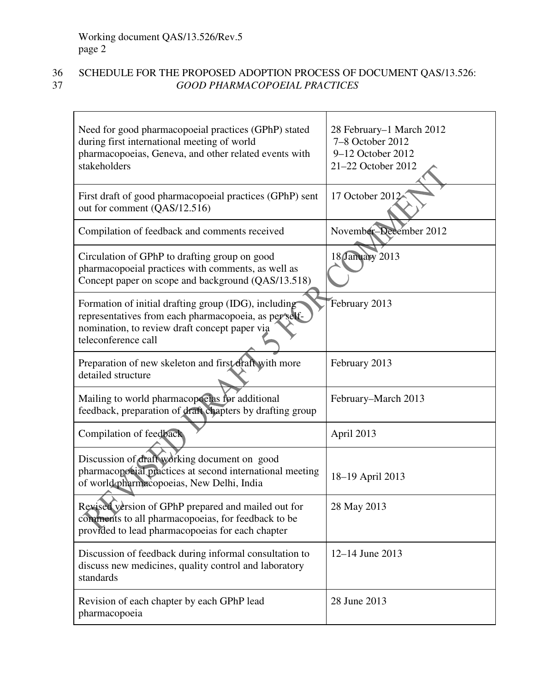# 36 SCHEDULE FOR THE PROPOSED ADOPTION PROCESS OF DOCUMENT QAS/13.526:<br>GOOD PHARMACOPOEIAL PRACTICES 37 *GOOD PHARMACOPOEIAL PRACTICES*

| Need for good pharmacopoeial practices (GPhP) stated<br>during first international meeting of world<br>pharmacopoeias, Geneva, and other related events with<br>stakeholders          | 28 February–1 March 2012<br>7-8 October 2012<br>9-12 October 2012<br>21-22 October 2012 |
|---------------------------------------------------------------------------------------------------------------------------------------------------------------------------------------|-----------------------------------------------------------------------------------------|
| First draft of good pharmacopoeial practices (GPhP) sent<br>out for comment (QAS/12.516)                                                                                              | 17 October 2012                                                                         |
| Compilation of feedback and comments received                                                                                                                                         | November-December 2012                                                                  |
| Circulation of GPhP to drafting group on good<br>pharmacopoeial practices with comments, as well as<br>Concept paper on scope and background (QAS/13.518)                             | 18 January 2013                                                                         |
| Formation of initial drafting group (IDG), including<br>representatives from each pharmacopoeia, as per self-<br>nomination, to review draft concept paper via<br>teleconference call | February 2013                                                                           |
| Preparation of new skeleton and first draft with more<br>detailed structure                                                                                                           | February 2013                                                                           |
| Mailing to world pharmacopoeias for additional<br>feedback, preparation of draft chapters by drafting group                                                                           | February–March 2013                                                                     |
| Compilation of feedback                                                                                                                                                               | April 2013                                                                              |
| Discussion of draft working document on good<br>pharmacopoeial practices at second international meeting<br>of world pharmacopoeias, New Delhi, India                                 | 18-19 April 2013                                                                        |
| Revised version of GPhP prepared and mailed out for<br>comments to all pharmacopoeias, for feedback to be<br>provided to lead pharmacopoeias for each chapter                         | 28 May 2013                                                                             |
| Discussion of feedback during informal consultation to<br>discuss new medicines, quality control and laboratory<br>standards                                                          | $12 - 14$ June 2013                                                                     |
| Revision of each chapter by each GPhP lead<br>pharmacopoeia                                                                                                                           | 28 June 2013                                                                            |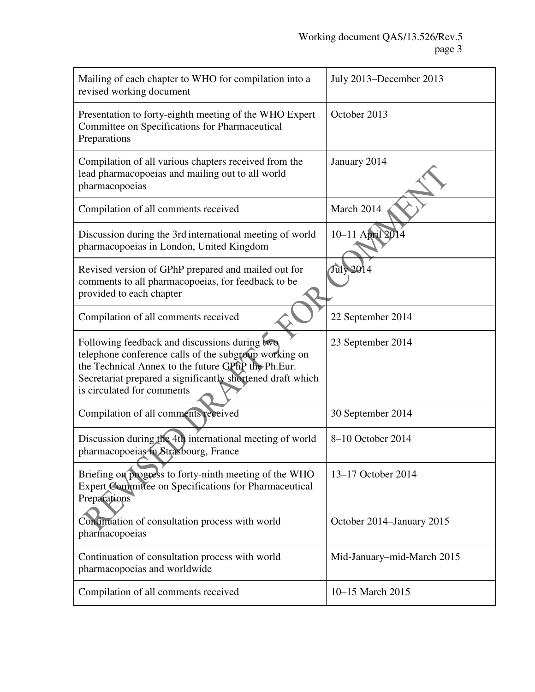| Mailing of each chapter to WHO for compilation into a<br>revised working document                                                                                                                                                                        | July 2013–December 2013    |
|----------------------------------------------------------------------------------------------------------------------------------------------------------------------------------------------------------------------------------------------------------|----------------------------|
| Presentation to forty-eighth meeting of the WHO Expert<br>Committee on Specifications for Pharmaceutical<br>Preparations                                                                                                                                 | October 2013               |
| Compilation of all various chapters received from the<br>lead pharmacopoeias and mailing out to all world<br>pharmacopoeias                                                                                                                              | January 2014               |
| Compilation of all comments received                                                                                                                                                                                                                     | March 2014                 |
| Discussion during the 3rd international meeting of world<br>pharmacopoeias in London, United Kingdom                                                                                                                                                     | 10-11 April 201            |
| Revised version of GPhP prepared and mailed out for<br>comments to all pharmacopoeias, for feedback to be<br>provided to each chapter                                                                                                                    | <b>July 2014</b>           |
| Compilation of all comments received                                                                                                                                                                                                                     | 22 September 2014          |
| Following feedback and discussions during two<br>telephone conference calls of the subgroup working on<br>the Technical Annex to the future GPhP the Ph.Eur.<br>Secretariat prepared a significantly shortened draft which<br>is circulated for comments | 23 September 2014          |
| Compilation of all comments received                                                                                                                                                                                                                     | 30 September 2014          |
| Discussion during the 4th international meeting of world<br>pharmacopoeias in Strasbourg, France                                                                                                                                                         | 8-10 October 2014          |
| Briefing on progress to forty-ninth meeting of the WHO<br>Expert Committee on Specifications for Pharmaceutical<br>Preparations                                                                                                                          | 13-17 October 2014         |
| Continuation of consultation process with world<br>pharmacopoeias                                                                                                                                                                                        | October 2014–January 2015  |
| Continuation of consultation process with world<br>pharmacopoeias and worldwide                                                                                                                                                                          | Mid-January-mid-March 2015 |
| Compilation of all comments received                                                                                                                                                                                                                     | 10-15 March 2015           |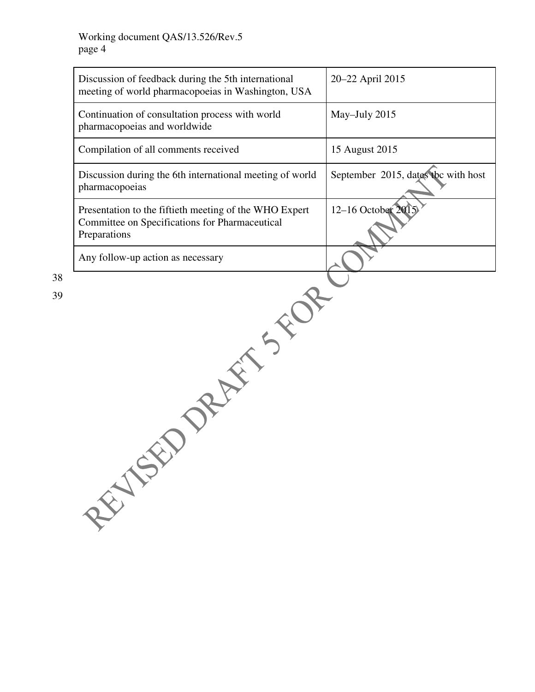38

| Discussion of feedback during the 5th international<br>meeting of world pharmacopoeias in Washington, USA                | 20-22 April 2015                    |
|--------------------------------------------------------------------------------------------------------------------------|-------------------------------------|
| Continuation of consultation process with world<br>pharmacopoeias and worldwide                                          | May-July 2015                       |
| Compilation of all comments received                                                                                     | 15 August 2015                      |
| Discussion during the 6th international meeting of world<br>pharmacopoeias                                               | September 2015, dates the with host |
| Presentation to the fiftieth meeting of the WHO Expert<br>Committee on Specifications for Pharmaceutical<br>Preparations | 12-16 October 20                    |
| Any follow-up action as necessary                                                                                        |                                     |
| REFERE<br>REATE                                                                                                          |                                     |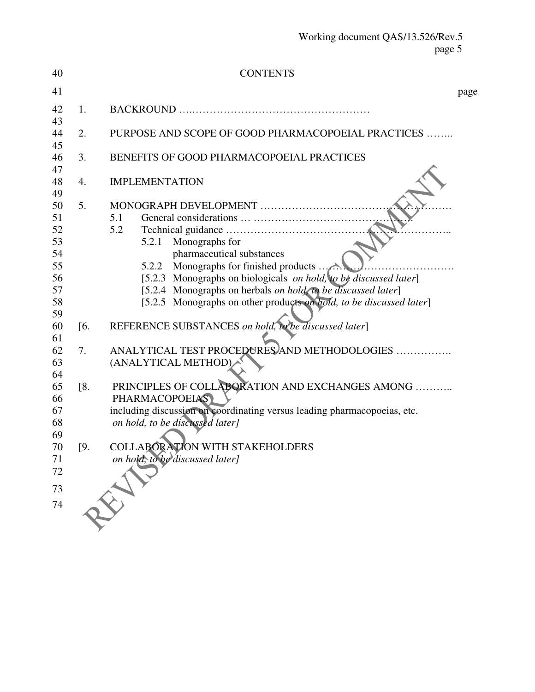| 40                                                                                                                         |                               | <b>CONTENTS</b>                                                                                                                                                                                                                                                                                                                                                                                                                                                                                                                                                                                                                                                                                                              |      |
|----------------------------------------------------------------------------------------------------------------------------|-------------------------------|------------------------------------------------------------------------------------------------------------------------------------------------------------------------------------------------------------------------------------------------------------------------------------------------------------------------------------------------------------------------------------------------------------------------------------------------------------------------------------------------------------------------------------------------------------------------------------------------------------------------------------------------------------------------------------------------------------------------------|------|
| 41                                                                                                                         |                               |                                                                                                                                                                                                                                                                                                                                                                                                                                                                                                                                                                                                                                                                                                                              | page |
| 42<br>43                                                                                                                   | 1.                            |                                                                                                                                                                                                                                                                                                                                                                                                                                                                                                                                                                                                                                                                                                                              |      |
| 44<br>45                                                                                                                   | 2.                            | PURPOSE AND SCOPE OF GOOD PHARMACOPOEIAL PRACTICES                                                                                                                                                                                                                                                                                                                                                                                                                                                                                                                                                                                                                                                                           |      |
| 46<br>47                                                                                                                   | 3.                            | BENEFITS OF GOOD PHARMACOPOEIAL PRACTICES                                                                                                                                                                                                                                                                                                                                                                                                                                                                                                                                                                                                                                                                                    |      |
| 48<br>49                                                                                                                   | 4.                            | <b>IMPLEMENTATION</b>                                                                                                                                                                                                                                                                                                                                                                                                                                                                                                                                                                                                                                                                                                        |      |
| 50<br>51<br>52<br>53<br>54<br>55<br>56<br>57<br>58<br>59<br>60<br>61<br>62<br>63<br>64<br>65<br>66<br>67<br>68<br>69<br>70 | 5.<br>[6]<br>7.<br>[8.<br>[9. | MONOGRAPH DEVELOPMENT<br>5.1<br>5.2<br>5.2.1 Monographs for<br>pharmaceutical substances<br>Monographs for finished products $\ldots$<br>5.2.2<br>[5.2.3 Monographs on biologicals on hold, to be discussed later]<br>[5.2.4 Monographs on herbals <i>on hold</i> to be discussed later]<br>[5.2.5 Monographs on other products on hold, to be discussed later]<br>REFERENCE SUBSTANCES on hold, to be discussed later]<br>ANALYTICAL TEST PROCEDURES AND METHODOLOGIES<br>(ANALYTICAL METHOD)<br>PRINCIPLES OF COLLABORATION AND EXCHANGES AMONG<br><b>PHARMACOPOEIAS</b><br>including discussion on coordinating versus leading pharmacopoeias, etc.<br>on hold, to be discussed later]<br>COLLABORATION WITH STAKEHOLDERS |      |
| 71<br>72<br>73<br>74                                                                                                       |                               | on hold, to be discussed later]                                                                                                                                                                                                                                                                                                                                                                                                                                                                                                                                                                                                                                                                                              |      |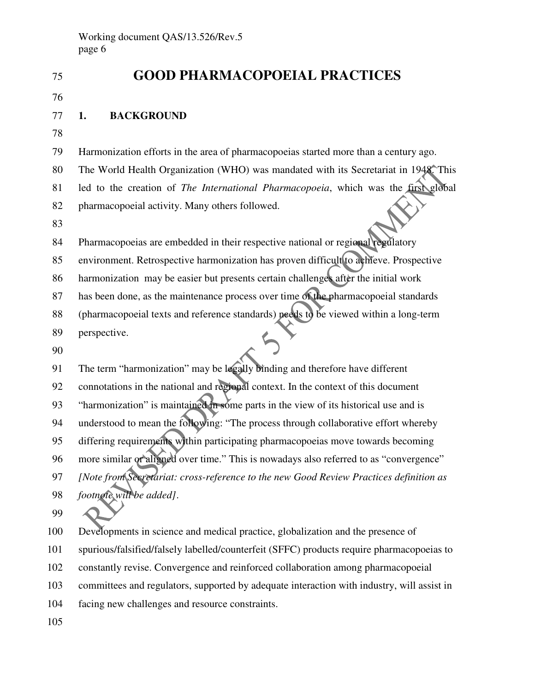| 75  | <b>GOOD PHARMACOPOEIAL PRACTICES</b>                                                       |
|-----|--------------------------------------------------------------------------------------------|
| 76  |                                                                                            |
| 77  | <b>BACKGROUND</b><br>1.                                                                    |
| 78  |                                                                                            |
| 79  | Harmonization efforts in the area of pharmacopoeias started more than a century ago.       |
| 80  | The World Health Organization (WHO) was mandated with its Secretariat in 1948. This        |
| 81  | led to the creation of The International Pharmacopoeia, which was the first global         |
| 82  | pharmacopoeial activity. Many others followed.                                             |
| 83  |                                                                                            |
| 84  | Pharmacopoeias are embedded in their respective national or regional regulatory            |
| 85  | environment. Retrospective harmonization has proven difficult to achieve. Prospective      |
| 86  | harmonization may be easier but presents certain challenges after the initial work         |
| 87  | has been done, as the maintenance process over time of the pharmacopoeial standards        |
| 88  | (pharmacopoeial texts and reference standards) needs to be viewed within a long-term       |
| 89  | perspective.                                                                               |
| 90  |                                                                                            |
| 91  | The term "harmonization" may be legally binding and therefore have different               |
| 92  | connotations in the national and regional context. In the context of this document         |
| 93  | "harmonization" is maintained in some parts in the view of its historical use and is       |
| 94  | understood to mean the following: "The process through collaborative effort whereby        |
| 95  | differing requirements within participating pharmacopoeias move towards becoming           |
| 96  | more similar or aligned over time." This is nowadays also referred to as "convergence"     |
| 97  | [Note from Secretariat: cross-reference to the new Good Review Practices definition as     |
| 98  | footnote will be added].                                                                   |
| 99  |                                                                                            |
| 100 | Developments in science and medical practice, globalization and the presence of            |
| 101 | spurious/falsified/falsely labelled/counterfeit (SFFC) products require pharmacopoeias to  |
| 102 | constantly revise. Convergence and reinforced collaboration among pharmacopoeial           |
| 103 | committees and regulators, supported by adequate interaction with industry, will assist in |
| 104 | facing new challenges and resource constraints.                                            |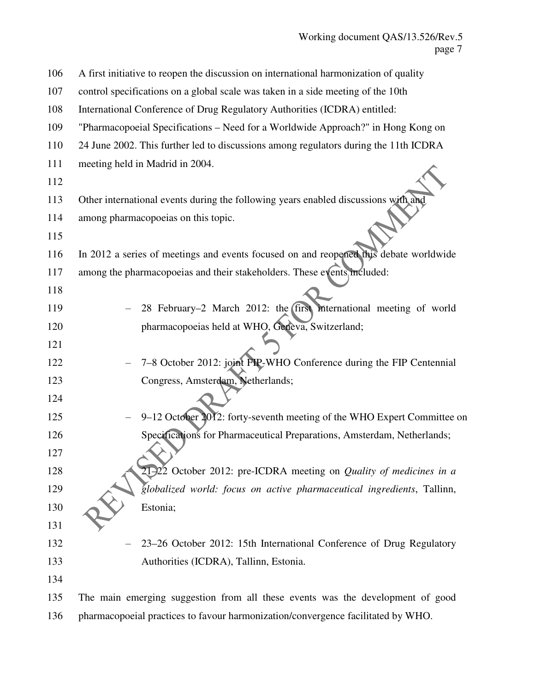| 106 | A first initiative to reopen the discussion on international harmonization of quality |
|-----|---------------------------------------------------------------------------------------|
| 107 | control specifications on a global scale was taken in a side meeting of the 10th      |
| 108 | International Conference of Drug Regulatory Authorities (ICDRA) entitled:             |
| 109 | "Pharmacopoeial Specifications – Need for a Worldwide Approach?" in Hong Kong on      |
| 110 | 24 June 2002. This further led to discussions among regulators during the 11th ICDRA  |
| 111 | meeting held in Madrid in 2004.                                                       |
| 112 |                                                                                       |
| 113 | Other international events during the following years enabled discussions with and    |
| 114 | among pharmacopoeias on this topic.                                                   |
| 115 |                                                                                       |
| 116 | In 2012 a series of meetings and events focused on and reopened this debate worldwide |
| 117 | among the pharmacopoeias and their stakeholders. These events included:               |
| 118 |                                                                                       |
| 119 | 28 February-2 March 2012: the first international meeting of world                    |
| 120 | pharmacopoeias held at WHO, Geneva, Switzerland;                                      |
| 121 |                                                                                       |
| 122 | 7-8 October 2012: joint FIP-WHO Conference during the FIP Centennial                  |
| 123 | Congress, Amsterdam, Netherlands;                                                     |
| 124 |                                                                                       |
| 125 | 9-12 October 2012: forty-seventh meeting of the WHO Expert Committee on               |
| 126 | Specifications for Pharmaceutical Preparations, Amsterdam, Netherlands;               |
| 127 |                                                                                       |
| 128 | 21-22 October 2012: pre-ICDRA meeting on <i>Quality of medicines in a</i>             |
| 129 | globalized world: focus on active pharmaceutical ingredients, Tallinn,                |
| 130 | Estonia;                                                                              |
| 131 |                                                                                       |
| 132 | 23-26 October 2012: 15th International Conference of Drug Regulatory                  |
| 133 | Authorities (ICDRA), Tallinn, Estonia.                                                |
| 134 |                                                                                       |
| 135 | The main emerging suggestion from all these events was the development of good        |
| 136 | pharmacopoeial practices to favour harmonization/convergence facilitated by WHO.      |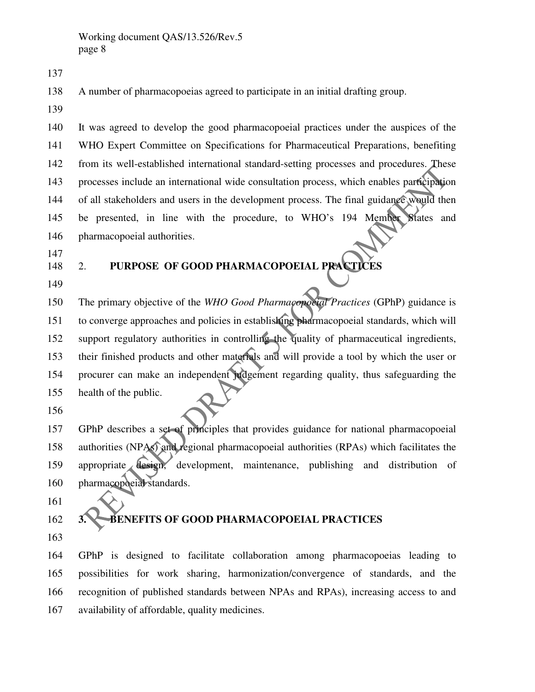138 A number of pharmacopoeias agreed to participate in an initial drafting group.

139

137

140 It was agreed to develop the good pharmacopoeial practices under the auspices of the 141 WHO Expert Committee on Specifications for Pharmaceutical Preparations, benefiting 142 from its well-established international standard-setting processes and procedures. These 143 processes include an international wide consultation process, which enables participation 144 of all stakeholders and users in the development process. The final guidance would then 145 be presented, in line with the procedure, to WHO's 194 Member States and 146 pharmacopoeial authorities.

- 147
- 148 2. **PURPOSE OF GOOD PHARMACOPOEIAL PRACTICES**
- 149

150 The primary objective of the *WHO Good Pharmacopoeial Practices* (GPhP) guidance is 151 to converge approaches and policies in establishing pharmacopoeial standards, which will 152 support regulatory authorities in controlling the quality of pharmaceutical ingredients, 153 their finished products and other materials and will provide a tool by which the user or 154 procurer can make an independent judgement regarding quality, thus safeguarding the 155 health of the public.

156

157 GPhP describes a set of principles that provides guidance for national pharmacopoeial 158 authorities (NPAs) and regional pharmacopoeial authorities (RPAs) which facilitates the 159 appropriate design, development, maintenance, publishing and distribution of 160 pharmacopoeial standards.

161

# 162 **3. BENEFITS OF GOOD PHARMACOPOEIAL PRACTICES**

163

164 GPhP is designed to facilitate collaboration among pharmacopoeias leading to 165 possibilities for work sharing, harmonization/convergence of standards, and the 166 recognition of published standards between NPAs and RPAs), increasing access to and 167 availability of affordable, quality medicines.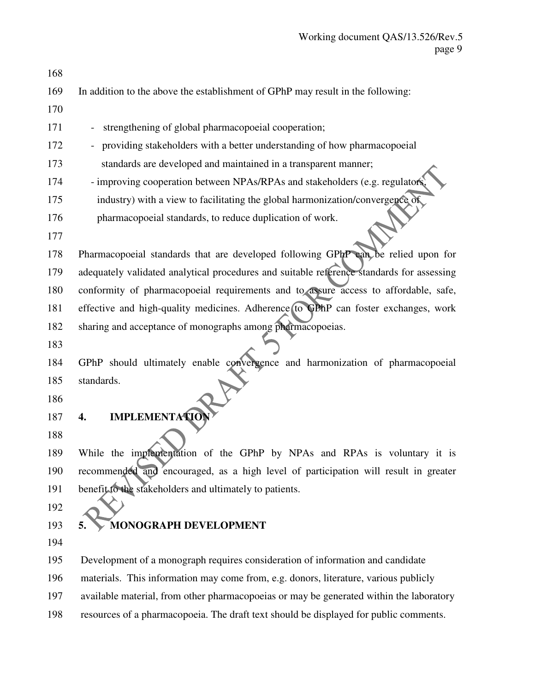168 169 In addition to the above the establishment of GPhP may result in the following: 170 171 - strengthening of global pharmacopoeial cooperation; 172 - providing stakeholders with a better understanding of how pharmacopoeial 173 standards are developed and maintained in a transparent manner; 174 - improving cooperation between NPAs/RPAs and stakeholders (e.g. regulators, 175 industry) with a view to facilitating the global harmonization/convergence of 176 pharmacopoeial standards, to reduce duplication of work. 177 178 Pharmacopoeial standards that are developed following GPhP can be relied upon for 179 adequately validated analytical procedures and suitable reference standards for assessing 180 conformity of pharmacopoeial requirements and to assure access to affordable, safe, 181 effective and high-quality medicines. Adherence to GPhP can foster exchanges, work 182 sharing and acceptance of monographs among pharmacopoeias. 183 184 GPhP should ultimately enable convergence and harmonization of pharmacopoeial 185 standards. 186 187 **4. IMPLEMENTATION** 188 189 While the implementation of the GPhP by NPAs and RPAs is voluntary it is 190 recommended and encouraged, as a high level of participation will result in greater 191 benefit to the stakeholders and ultimately to patients. 192 193 **5. MONOGRAPH DEVELOPMENT** 194 195 Development of a monograph requires consideration of information and candidate 196 materials. This information may come from, e.g. donors, literature, various publicly 197 available material, from other pharmacopoeias or may be generated within the laboratory 198 resources of a pharmacopoeia. The draft text should be displayed for public comments.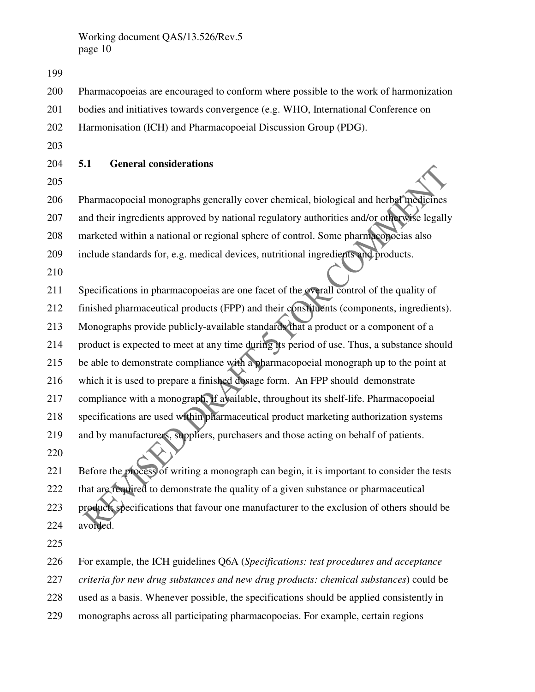200 Pharmacopoeias are encouraged to conform where possible to the work of harmonization 201 bodies and initiatives towards convergence (e.g. WHO, International Conference on 202 Harmonisation (ICH) and Pharmacopoeial Discussion Group (PDG). 203 204 **5.1 General considerations**  205 206 Pharmacopoeial monographs generally cover chemical, biological and herbal medicines 207 and their ingredients approved by national regulatory authorities and/or otherwise legally 208 marketed within a national or regional sphere of control. Some pharmacopoeias also 209 include standards for, e.g. medical devices, nutritional ingredients and products. 210 211 Specifications in pharmacopoeias are one facet of the overall control of the quality of 212 finished pharmaceutical products (FPP) and their constituents (components, ingredients). 213 Monographs provide publicly-available standards that a product or a component of a 214 product is expected to meet at any time during its period of use. Thus, a substance should 215 be able to demonstrate compliance with a pharmacopoeial monograph up to the point at 216 which it is used to prepare a finished dosage form. An FPP should demonstrate 217 compliance with a monograph, if available, throughout its shelf-life. Pharmacopoeial 218 specifications are used within pharmaceutical product marketing authorization systems 219 and by manufacturers, suppliers, purchasers and those acting on behalf of patients. 220 221 Before the process of writing a monograph can begin, it is important to consider the tests 222 that are required to demonstrate the quality of a given substance or pharmaceutical 223 product; specifications that favour one manufacturer to the exclusion of others should be 224 avoided.

225

199

226 For example, the ICH guidelines Q6A (*Specifications: test procedures and acceptance* 

227 *criteria for new drug substances and new drug products: chemical substances*) could be

228 used as a basis. Whenever possible, the specifications should be applied consistently in

229 monographs across all participating pharmacopoeias. For example, certain regions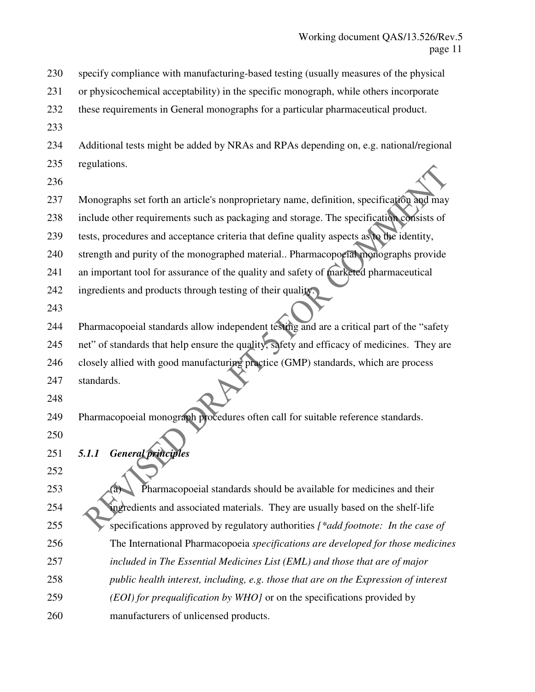230 specify compliance with manufacturing-based testing (usually measures of the physical 231 or physicochemical acceptability) in the specific monograph, while others incorporate 232 these requirements in General monographs for a particular pharmaceutical product. 233 234 Additional tests might be added by NRAs and RPAs depending on, e.g. national/regional 235 regulations. 236 237 Monographs set forth an article's nonproprietary name, definition, specification and may 238 include other requirements such as packaging and storage. The specification consists of 239 tests, procedures and acceptance criteria that define quality aspects as to the identity, 240 strength and purity of the monographed material.. Pharmacopoeial monographs provide 241 an important tool for assurance of the quality and safety of marketed pharmaceutical 242 ingredients and products through testing of their quality. 243 244 Pharmacopoeial standards allow independent testing and are a critical part of the "safety 245 net" of standards that help ensure the quality, safety and efficacy of medicines. They are 246 closely allied with good manufacturing practice (GMP) standards, which are process 247 standards. 248 249 Pharmacopoeial monograph procedures often call for suitable reference standards. 250 251 *5.1.1 General principles* 252 253 **Pharmacopoeial standards should be available for medicines and their** 254 ingredients and associated materials. They are usually based on the shelf-life 255 specifications approved by regulatory authorities *[\*add footnote: In the case of*  256 The International Pharmacopoeia *specifications are developed for those medicines*  257 *included in The Essential Medicines List (EML) and those that are of major*  258 *public health interest, including, e.g. those that are on the Expression of interest*  259 *(EOI) for prequalification by WHO]* or on the specifications provided by 260 manufacturers of unlicensed products.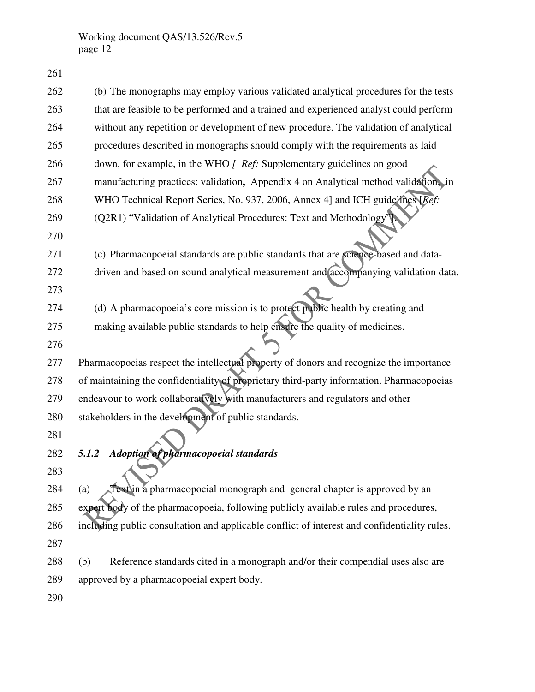| 262 | (b) The monographs may employ various validated analytical procedures for the tests          |
|-----|----------------------------------------------------------------------------------------------|
| 263 | that are feasible to be performed and a trained and experienced analyst could perform        |
| 264 | without any repetition or development of new procedure. The validation of analytical         |
| 265 | procedures described in monographs should comply with the requirements as laid               |
| 266 | down, for example, in the WHO [ Ref: Supplementary guidelines on good                        |
| 267 | manufacturing practices: validation, Appendix 4 on Analytical method validation, in          |
| 268 | WHO Technical Report Series, No. 937, 2006, Annex 4] and ICH guidelines [Ref:                |
| 269 | (Q2R1) "Validation of Analytical Procedures: Text and Methodology'].                         |
| 270 |                                                                                              |
| 271 | (c) Pharmacopoeial standards are public standards that are science-based and data-           |
| 272 | driven and based on sound analytical measurement and accompanying validation data.           |
| 273 |                                                                                              |
| 274 | (d) A pharmacopoeia's core mission is to protect public health by creating and               |
| 275 | making available public standards to help ensure the quality of medicines.                   |
| 276 |                                                                                              |
| 277 | Pharmacopoeias respect the intellectual property of donors and recognize the importance      |
| 278 | of maintaining the confidentiality of proprietary third-party information. Pharmacopoeias    |
| 279 | endeavour to work collaboratively with manufacturers and regulators and other                |
| 280 | stakeholders in the development of public standards.                                         |
| 281 |                                                                                              |
| 282 | <b>Adoption of pharmacopoeial standards</b><br>5.1.2                                         |
| 283 |                                                                                              |
| 284 | Text in a pharmacopoeial monograph and general chapter is approved by an<br>(a)              |
| 285 | expert body of the pharmacopoeia, following publicly available rules and procedures,         |
| 286 | including public consultation and applicable conflict of interest and confidentiality rules. |
| 287 |                                                                                              |
| 288 | Reference standards cited in a monograph and/or their compendial uses also are<br>(b)        |
| 289 | approved by a pharmacopoeial expert body.                                                    |
| 290 |                                                                                              |
|     |                                                                                              |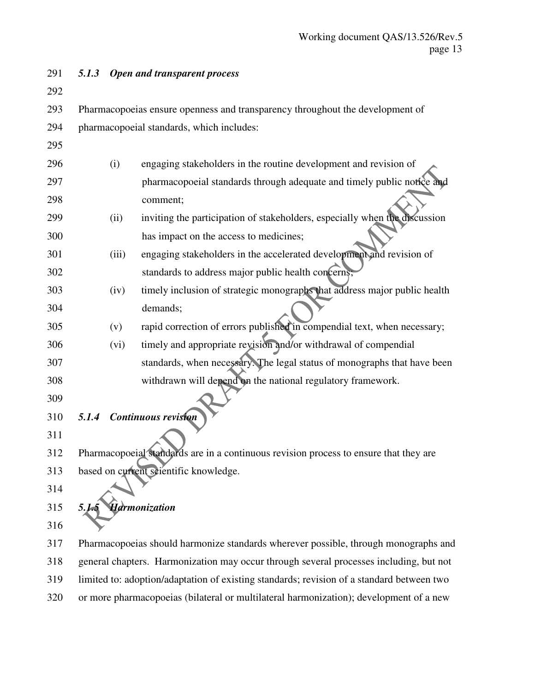| 291 | 5.1.3 |       | <b>Open and transparent process</b>                                                       |
|-----|-------|-------|-------------------------------------------------------------------------------------------|
| 292 |       |       |                                                                                           |
| 293 |       |       | Pharmacopoeias ensure openness and transparency throughout the development of             |
| 294 |       |       | pharmacopoeial standards, which includes:                                                 |
| 295 |       |       |                                                                                           |
| 296 |       | (i)   | engaging stakeholders in the routine development and revision of                          |
| 297 |       |       | pharmacopoeial standards through adequate and timely public notice and                    |
| 298 |       |       | comment;                                                                                  |
| 299 |       | (ii)  | inviting the participation of stakeholders, especially when the discussion                |
| 300 |       |       | has impact on the access to medicines;                                                    |
| 301 |       | (iii) | engaging stakeholders in the accelerated development and revision of                      |
| 302 |       |       | standards to address major public health concerns;                                        |
| 303 |       | (iv)  | timely inclusion of strategic monographs that address major public health                 |
| 304 |       |       | demands;                                                                                  |
| 305 |       | (v)   | rapid correction of errors published in compendial text, when necessary;                  |
| 306 |       | (vi)  | timely and appropriate revision and/or withdrawal of compendial                           |
| 307 |       |       | standards, when necessary. The legal status of monographs that have been                  |
| 308 |       |       | withdrawn will depend on the national regulatory framework.                               |
| 309 |       |       |                                                                                           |
| 310 | 5.1.4 |       | <b>Continuous revision</b>                                                                |
| 311 |       |       |                                                                                           |
| 312 |       |       | Pharmacopoeial standards are in a continuous revision process to ensure that they are     |
| 313 |       |       | based on current scientific knowledge.                                                    |
| 314 |       |       |                                                                                           |
| 315 | 5.1   |       | <b>Harmonization</b>                                                                      |
| 316 |       |       |                                                                                           |
| 317 |       |       | Pharmacopoeias should harmonize standards wherever possible, through monographs and       |
| 318 |       |       | general chapters. Harmonization may occur through several processes including, but not    |
| 319 |       |       | limited to: adoption/adaptation of existing standards; revision of a standard between two |

320 or more pharmacopoeias (bilateral or multilateral harmonization); development of a new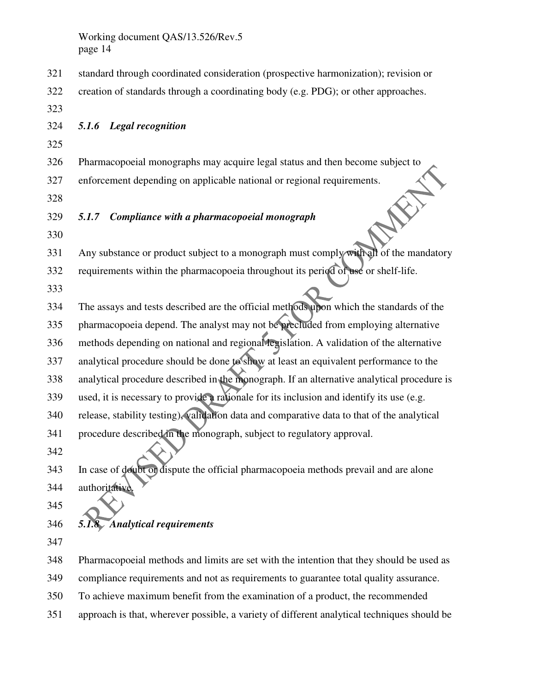- 321 standard through coordinated consideration (prospective harmonization); revision or
- 322 creation of standards through a coordinating body (e.g. PDG); or other approaches.
- 323

324 *5.1.6 Legal recognition* 

- 325
- 326 Pharmacopoeial monographs may acquire legal status and then become subject to
- 327 enforcement depending on applicable national or regional requirements.
- 328
- 329 *5.1.7 Compliance with a pharmacopoeial monograph*
- 330

331 Any substance or product subject to a monograph must comply with all of the mandatory 332 requirements within the pharmacopoeia throughout its period of use or shelf-life.

333

334 The assays and tests described are the official methods upon which the standards of the 335 pharmacopoeia depend. The analyst may not be precluded from employing alternative 336 methods depending on national and regional legislation. A validation of the alternative 337 analytical procedure should be done to show at least an equivalent performance to the 338 analytical procedure described in the monograph. If an alternative analytical procedure is 339 used, it is necessary to provide a rationale for its inclusion and identify its use (e.g. 340 release, stability testing), validation data and comparative data to that of the analytical 341 procedure described in the monograph, subject to regulatory approval.

- 342
- 343 In case of doubt or dispute the official pharmacopoeia methods prevail and are alone 344 authoritative.
- 345
- 346 *5.1.8 Analytical requirements*
- 347

348 Pharmacopoeial methods and limits are set with the intention that they should be used as 349 compliance requirements and not as requirements to guarantee total quality assurance.

- 350 To achieve maximum benefit from the examination of a product, the recommended
- 351 approach is that, wherever possible, a variety of different analytical techniques should be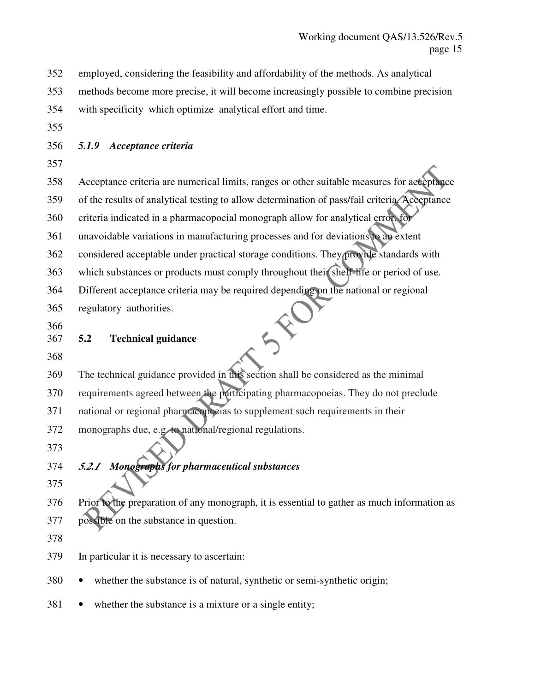352 employed, considering the feasibility and affordability of the methods. As analytical

353 methods become more precise, it will become increasingly possible to combine precision

- 354 with specificity which optimize analytical effort and time.
- 355
- 356 *5.1.9 Acceptance criteria*
- 357

358 Acceptance criteria are numerical limits, ranges or other suitable measures for acceptance 359 of the results of analytical testing to allow determination of pass/fail criteria. Acceptance 360 criteria indicated in a pharmacopoeial monograph allow for analytical error, for 361 unavoidable variations in manufacturing processes and for deviations to an extent 362 considered acceptable under practical storage conditions. They provide standards with 363 which substances or products must comply throughout their shelf-life or period of use. 364 Different acceptance criteria may be required depending on the national or regional

365 regulatory authorities.

366

- 367 **5.2 Technical guidance**
- 368

369 The technical guidance provided in this section shall be considered as the minimal 370 requirements agreed between the participating pharmacopoeias. They do not preclude 371 national or regional pharmacopoeias to supplement such requirements in their 372 monographs due, e.g. to national/regional regulations.

373

# 374 *5.2.1 Monographs for pharmaceutical substances*

375

376 Prior to the preparation of any monograph, it is essential to gather as much information as 377 possible on the substance in question.

378

379 In particular it is necessary to ascertain:

- 380 whether the substance is of natural, synthetic or semi-synthetic origin;
- 381 whether the substance is a mixture or a single entity;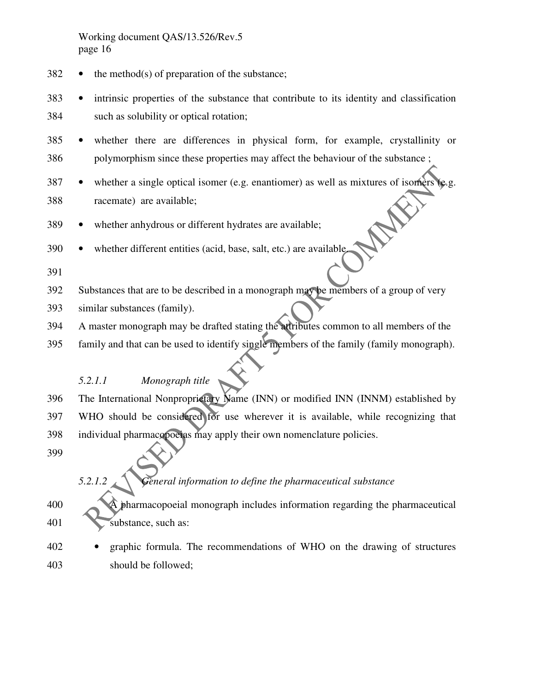- $382$  the method(s) of preparation of the substance;
- 383 intrinsic properties of the substance that contribute to its identity and classification 384 such as solubility or optical rotation;
- 385 whether there are differences in physical form, for example, crystallinity or 386 polymorphism since these properties may affect the behaviour of the substance ;
- 387 whether a single optical isomer (e.g. enantiomer) as well as mixtures of isomers (e.g. E 388 racemate) are available;
- 389 whether anhydrous or different hydrates are available;
- 390 whether different entities (acid, base, salt, etc.) are available.
- 391
- 392 Substances that are to be described in a monograph may be members of a group of very
- 393 similar substances (family).
- 394 A master monograph may be drafted stating the attributes common to all members of the
- 395 family and that can be used to identify single members of the family (family monograph).

#### *5.2.1.1 Monograph title*

- 396 The International Nonproprietary Name (INN) or modified INN (INNM) established by 397 WHO should be considered for use wherever it is available, while recognizing that 398 individual pharmacopoeias may apply their own nomenclature policies.
- 399

### *5.2.1.2 General information to define the pharmaceutical substance*

- 400 A pharmacopoeial monograph includes information regarding the pharmaceutical 401 **substance**, such as:
- 402 graphic formula. The recommendations of WHO on the drawing of structures 403 should be followed;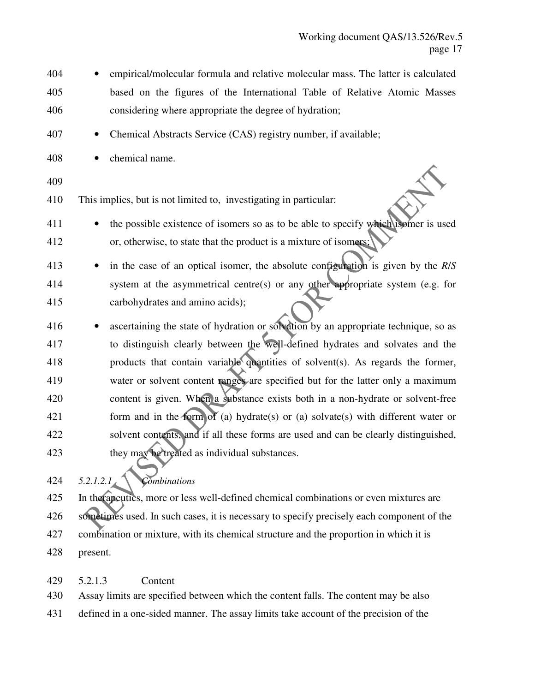- 404 empirical/molecular formula and relative molecular mass. The latter is calculated 405 based on the figures of the International Table of Relative Atomic Masses 406 considering where appropriate the degree of hydration;
- 407 Chemical Abstracts Service (CAS) registry number, if available;
- 408 chemical name.
- 409
- 410 This implies, but is not limited to, investigating in particular:
- 411 the possible existence of isomers so as to be able to specify which isomer is used 412 or, otherwise, to state that the product is a mixture of isomers;
- 413 in the case of an optical isomer, the absolute configuration is given by the *R*/*S* 414 system at the asymmetrical centre(s) or any other appropriate system (e.g. for 415 carbohydrates and amino acids);
- 416 ascertaining the state of hydration or solvation by an appropriate technique, so as 417 to distinguish clearly between the well-defined hydrates and solvates and the 418 products that contain variable quantities of solvent(s). As regards the former, 419 water or solvent content ranges are specified but for the latter only a maximum 420 content is given. When a substance exists both in a non-hydrate or solvent-free 421 form and in the form of (a) hydrate(s) or (a) solvate(s) with different water or 422 solvent contents, and if all these forms are used and can be clearly distinguished, 423 they may be treated as individual substances.
- 424 *5.2.1.2.1 Combinations*
- 425 In therapeutics, more or less well-defined chemical combinations or even mixtures are 426 sometimes used. In such cases, it is necessary to specify precisely each component of the 427 combination or mixture, with its chemical structure and the proportion in which it is 428 present.
- 429 5.2.1.3 Content

430 Assay limits are specified between which the content falls. The content may be also

431 defined in a one-sided manner. The assay limits take account of the precision of the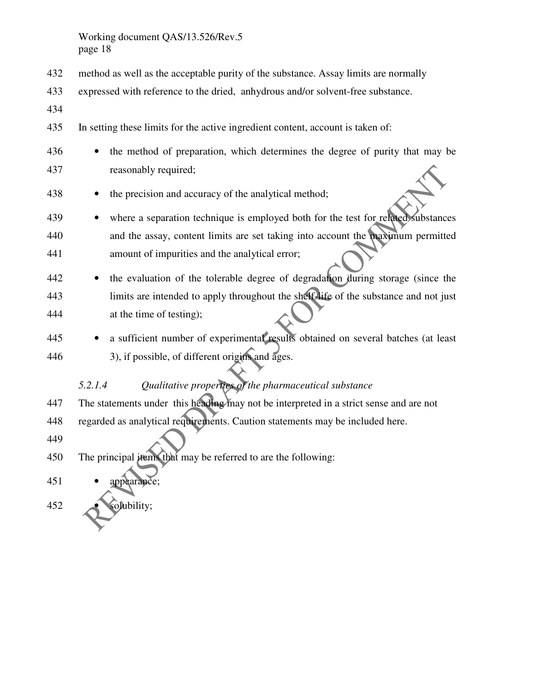- 432 method as well as the acceptable purity of the substance. Assay limits are normally
- 433 expressed with reference to the dried, anhydrous and/or solvent-free substance.
- 434
- 435 In setting these limits for the active ingredient content, account is taken of:
- 436 the method of preparation, which determines the degree of purity that may be 437 reasonably required;
- 438 the precision and accuracy of the analytical method;
- 439 where a separation technique is employed both for the test for related substances 440 and the assay, content limits are set taking into account the maximum permitted 441 amount of impurities and the analytical error;
- 442 the evaluation of the tolerable degree of degradation during storage (since the 443 limits are intended to apply throughout the shelf-life of the substance and not just 444 at the time of testing);
- 445 a sufficient number of experimental results obtained on several batches (at least 446 3), if possible, of different origins and ages.

### *5.2.1.4 Qualitative properties of the pharmaceutical substance*

- 447 The statements under this heading may not be interpreted in a strict sense and are not
- 448 regarded as analytical requirements. Caution statements may be included here.
- 449

450 The principal items that may be referred to are the following:

- 451 appearance;
- 452 solubility;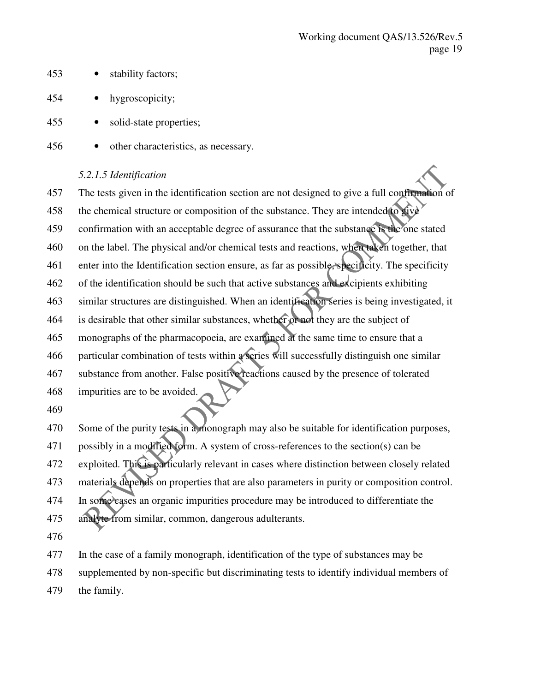- 453 stability factors;
- 454 hygroscopicity;
- 455 solid-state properties;
- 456 other characteristics, as necessary.

#### *5.2.1.5 Identification*

457 The tests given in the identification section are not designed to give a full confirmation of 458 the chemical structure or composition of the substance. They are intended to give 459 confirmation with an acceptable degree of assurance that the substance is the one stated 460 on the label. The physical and/or chemical tests and reactions, when taken together, that 461 enter into the Identification section ensure, as far as possible, specificity. The specificity 462 of the identification should be such that active substances and excipients exhibiting 463 similar structures are distinguished. When an identification series is being investigated, it 464 is desirable that other similar substances, whether or not they are the subject of 465 monographs of the pharmacopoeia, are examined at the same time to ensure that a 466 particular combination of tests within a series will successfully distinguish one similar 467 substance from another. False positive reactions caused by the presence of tolerated 468 impurities are to be avoided. 469

470 Some of the purity tests in a monograph may also be suitable for identification purposes, 471 possibly in a modified form. A system of cross-references to the section(s) can be 472 exploited. This is particularly relevant in cases where distinction between closely related 473 materials depends on properties that are also parameters in purity or composition control. 474 In some cases an organic impurities procedure may be introduced to differentiate the 475 analyte from similar, common, dangerous adulterants.

476

477 In the case of a family monograph, identification of the type of substances may be 478 supplemented by non-specific but discriminating tests to identify individual members of 479 the family.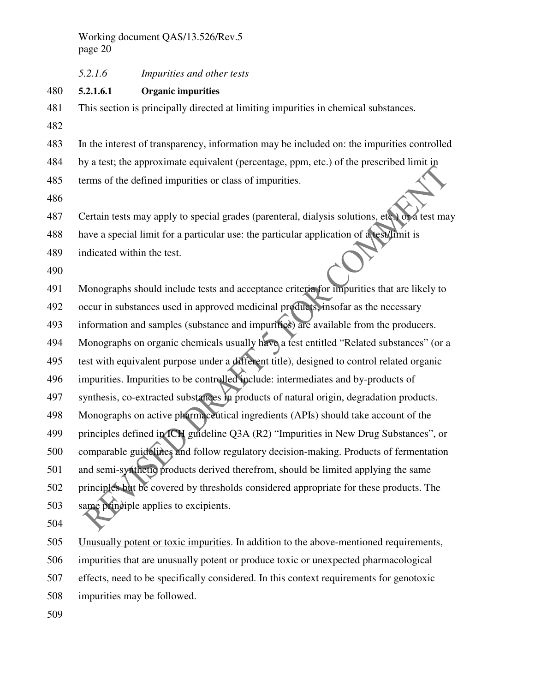#### 480 **5.2.1.6.1 Organic impurities**

- 481 This section is principally directed at limiting impurities in chemical substances.
- 482

483 In the interest of transparency, information may be included on: the impurities controlled

- 484 by a test; the approximate equivalent (percentage, ppm, etc.) of the prescribed limit in
- 485 terms of the defined impurities or class of impurities.
- 486

487 Certain tests may apply to special grades (parenteral, dialysis solutions, etc.) or a test may

488 have a special limit for a particular use: the particular application of a test/limit is

489 indicated within the test.

490

491 Monographs should include tests and acceptance criteria for impurities that are likely to 492 occur in substances used in approved medicinal products, insofar as the necessary 493 information and samples (substance and impurities) are available from the producers. 494 Monographs on organic chemicals usually have a test entitled "Related substances" (or a 495 test with equivalent purpose under a different title), designed to control related organic 496 impurities. Impurities to be controlled include: intermediates and by-products of 497 synthesis, co-extracted substances in products of natural origin, degradation products. 498 Monographs on active pharmaceutical ingredients (APIs) should take account of the 499 principles defined in ICH guideline Q3A (R2) "Impurities in New Drug Substances", or 500 comparable guidelines and follow regulatory decision-making. Products of fermentation 501 and semi-synthetic products derived therefrom, should be limited applying the same 502 principles but be covered by thresholds considered appropriate for these products. The 503 same principle applies to excipients.

504

505 Unusually potent or toxic impurities. In addition to the above-mentioned requirements, 506 impurities that are unusually potent or produce toxic or unexpected pharmacological 507 effects, need to be specifically considered. In this context requirements for genotoxic

- 508 impurities may be followed.
- 509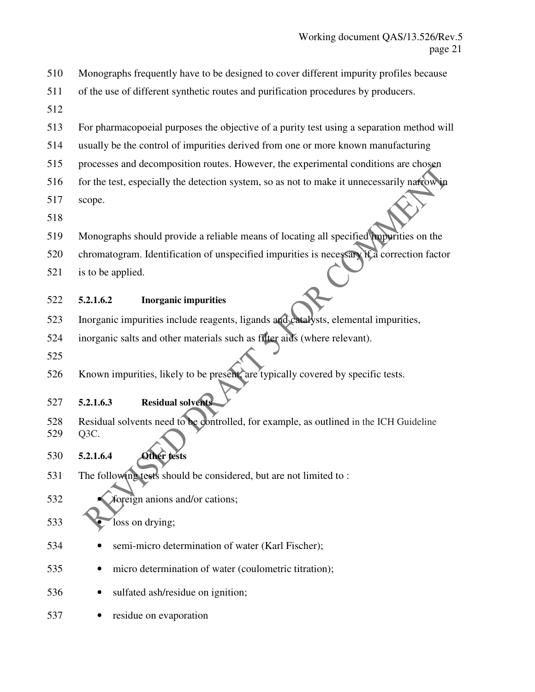- 510 Monographs frequently have to be designed to cover different impurity profiles because
- 511 of the use of different synthetic routes and purification procedures by producers.
- 512
- 513 For pharmacopoeial purposes the objective of a purity test using a separation method will
- 514 usually be the control of impurities derived from one or more known manufacturing
- 515 processes and decomposition routes. However, the experimental conditions are chosen
- 516 for the test, especially the detection system, so as not to make it unnecessarily narrow in
- 517 scope.
- 518
- 519 Monographs should provide a reliable means of locating all specified impurities on the
- 520 chromatogram. Identification of unspecified impurities is necessary if a correction factor
- 521 is to be applied.
- 522 **5.2.1.6.2 Inorganic impurities**
- 523 Inorganic impurities include reagents, ligands and catalysts, elemental impurities,
- 524 inorganic salts and other materials such as filter aids (where relevant).
- 525
- 526 Known impurities, likely to be present, are typically covered by specific tests.

## 527 **5.2.1.6.3 Residual solvents**

- 528 Residual solvents need to be controlled, for example, as outlined in the ICH Guideline 529 Q3C.
- 530 **5.2.1.6.4 Other tests**
- 531 The following tests should be considered, but are not limited to :
- 532 **foreign anions and/or cations;**
- 533 loss on drying;
- 534 semi-micro determination of water (Karl Fischer);
- 535 micro determination of water (coulometric titration);
- 536 sulfated ash/residue on ignition;
- 537 residue on evaporation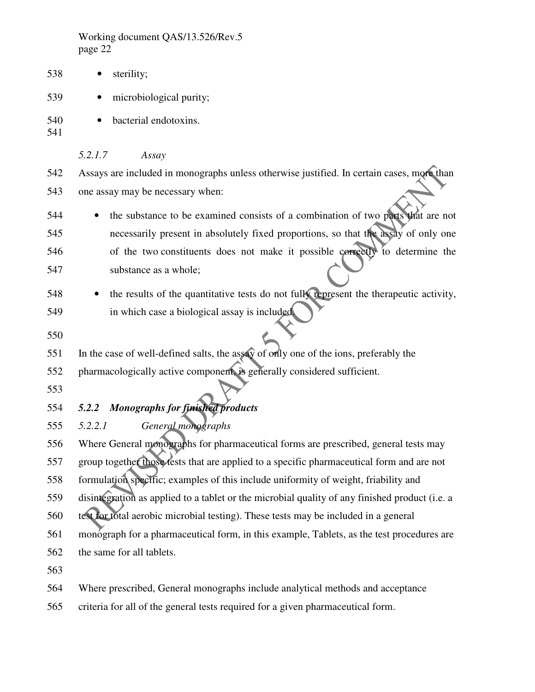| 538               | sterility;                                                                                                                                                             |
|-------------------|------------------------------------------------------------------------------------------------------------------------------------------------------------------------|
| 539               | microbiological purity;                                                                                                                                                |
| 540<br>541        | bacterial endotoxins.                                                                                                                                                  |
|                   | 5.2.1.7<br>Assay                                                                                                                                                       |
| 542               | Assays are included in monographs unless otherwise justified. In certain cases, more than                                                                              |
| 543               | one assay may be necessary when:                                                                                                                                       |
| 544<br>545        | the substance to be examined consists of a combination of two parts that are not<br>necessarily present in absolutely fixed proportions, so that the assay of only one |
| 546               | of the two constituents does not make it possible correctly to determine the                                                                                           |
| 547               | substance as a whole;                                                                                                                                                  |
| 548<br>549<br>550 | the results of the quantitative tests do not fully represent the therapeutic activity,<br>in which case a biological assay is included.                                |
| 551               | In the case of well-defined salts, the assay of only one of the ions, preferably the                                                                                   |
| 552<br>553        | pharmacologically active component, is generally considered sufficient.                                                                                                |
| 554               | <b>Monographs for finished products</b><br>5.2.2                                                                                                                       |
| 555               | 5.2.2.1<br>General monographs                                                                                                                                          |
| 556               | Where General monographs for pharmaceutical forms are prescribed, general tests may                                                                                    |
| 557               | group together those tests that are applied to a specific pharmaceutical form and are not                                                                              |
| 558               | formulation specific; examples of this include uniformity of weight, friability and                                                                                    |
| 559               | disintegration as applied to a tablet or the microbial quality of any finished product (i.e. a                                                                         |
| 560               | test for total aerobic microbial testing). These tests may be included in a general                                                                                    |
| 561               | monograph for a pharmaceutical form, in this example, Tablets, as the test procedures are                                                                              |
| 562               | the same for all tablets.                                                                                                                                              |
| 563               |                                                                                                                                                                        |
|                   |                                                                                                                                                                        |

564 Where prescribed, General monographs include analytical methods and acceptance

565 criteria for all of the general tests required for a given pharmaceutical form.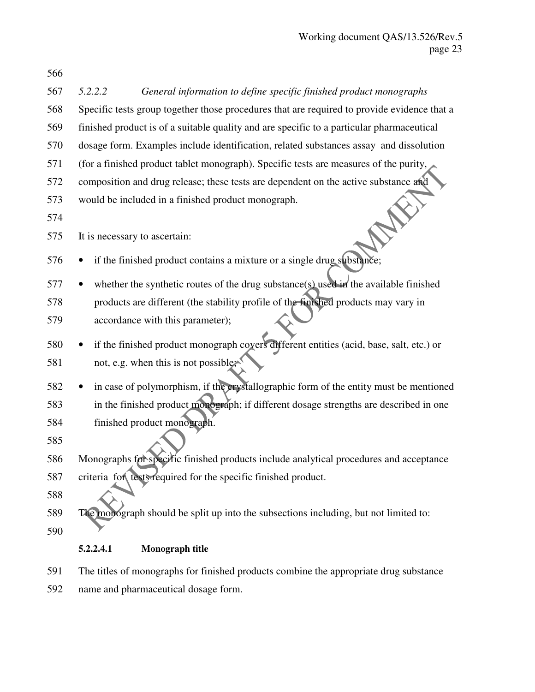| 567 | 5.2.2.2                       | General information to define specific finished product monographs                          |
|-----|-------------------------------|---------------------------------------------------------------------------------------------|
| 568 |                               | Specific tests group together those procedures that are required to provide evidence that a |
| 569 |                               | finished product is of a suitable quality and are specific to a particular pharmaceutical   |
| 570 |                               | dosage form. Examples include identification, related substances assay and dissolution      |
| 571 |                               | (for a finished product tablet monograph). Specific tests are measures of the purity,       |
| 572 |                               | composition and drug release; these tests are dependent on the active substance and         |
| 573 |                               | would be included in a finished product monograph.                                          |
| 574 |                               |                                                                                             |
| 575 | It is necessary to ascertain: |                                                                                             |
| 576 |                               | if the finished product contains a mixture or a single drug substance;                      |
| 577 |                               | whether the synthetic routes of the drug substance(s) used in the available finished        |
| 578 |                               | products are different (the stability profile of the finished products may vary in          |
| 579 |                               | accordance with this parameter);                                                            |
| 580 |                               | if the finished product monograph covers different entities (acid, base, salt, etc.) or     |
| 581 |                               | not, e.g. when this is not possible;                                                        |
| 582 |                               | in case of polymorphism, if the crystallographic form of the entity must be mentioned       |
| 583 |                               | in the finished product monograph; if different dosage strengths are described in one       |
| 584 |                               | finished product monograph.                                                                 |
| 585 |                               |                                                                                             |
| 586 |                               | Monographs for specific finished products include analytical procedures and acceptance      |
| 587 |                               | criteria for tests required for the specific finished product.                              |
| 588 |                               |                                                                                             |
| 589 |                               | The monograph should be split up into the subsections including, but not limited to:        |
| 590 |                               |                                                                                             |
|     | 5.2.2.4.1                     | Monograph title                                                                             |
| 591 |                               | The titles of monographs for finished products combine the appropriate drug substance       |

592 name and pharmaceutical dosage form.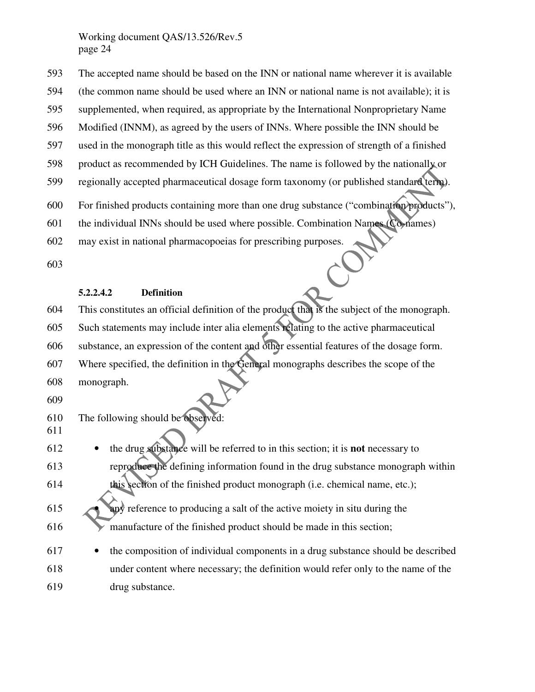593 The accepted name should be based on the INN or national name wherever it is available 594 (the common name should be used where an INN or national name is not available); it is 595 supplemented, when required, as appropriate by the International Nonproprietary Name 596 Modified (INNM), as agreed by the users of INNs. Where possible the INN should be 597 used in the monograph title as this would reflect the expression of strength of a finished 598 product as recommended by ICH Guidelines. The name is followed by the nationally or 599 regionally accepted pharmaceutical dosage form taxonomy (or published standard term). 600 For finished products containing more than one drug substance ("combination products"), 601 the individual INNs should be used where possible. Combination Names (Co-names) 602 may exist in national pharmacopoeias for prescribing purposes.

603

#### **5.2.2.4.2 Definition**

604 This constitutes an official definition of the product that is the subject of the monograph. 605 Such statements may include inter alia elements relating to the active pharmaceutical 606 substance, an expression of the content and other essential features of the dosage form. 607 Where specified, the definition in the General monographs describes the scope of the 608 monograph.

609

610 The following should be observed: 611

- 612 the drug substance will be referred to in this section; it is **not** necessary to 613 reproduce the defining information found in the drug substance monograph within 614 this section of the finished product monograph (i.e. chemical name, etc.);
- 615 **Any** reference to producing a salt of the active moiety in situ during the 616 manufacture of the finished product should be made in this section;
- 617 the composition of individual components in a drug substance should be described 618 under content where necessary; the definition would refer only to the name of the 619 drug substance.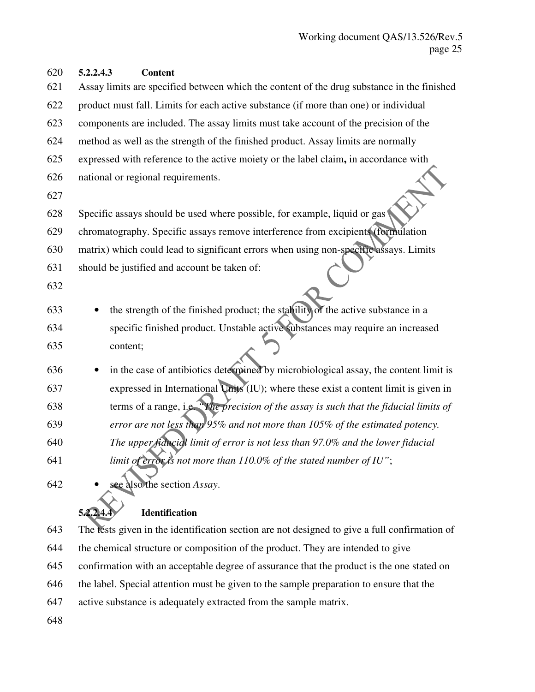| 620 | 5.2.2.4.3<br><b>Content</b>                                                                |
|-----|--------------------------------------------------------------------------------------------|
| 621 | Assay limits are specified between which the content of the drug substance in the finished |
| 622 | product must fall. Limits for each active substance (if more than one) or individual       |
| 623 | components are included. The assay limits must take account of the precision of the        |
| 624 | method as well as the strength of the finished product. Assay limits are normally          |
| 625 | expressed with reference to the active moiety or the label claim, in accordance with       |
| 626 | national or regional requirements.                                                         |
| 627 |                                                                                            |
| 628 | Specific assays should be used where possible, for example, liquid or gas                  |
| 629 | chromatography. Specific assays remove interference from excipients (formulation           |
| 630 | matrix) which could lead to significant errors when using non-specific assays. Limits      |
| 631 | should be justified and account be taken of:                                               |
| 632 |                                                                                            |
| 633 | the strength of the finished product; the stability of the active substance in a           |
| 634 | specific finished product. Unstable active substances may require an increased             |
| 635 | content;                                                                                   |
| 636 | in the case of antibiotics determined by microbiological assay, the content limit is       |
| 637 | expressed in International Units (IU); where these exist a content limit is given in       |
| 638 | terms of a range, i.e. "The precision of the assay is such that the fiducial limits of     |
| 639 | error are not less than 95% and not more than 105% of the estimated potency.               |
| 640 | The upper fiducial limit of error is not less than 97.0% and the lower fiducial            |
| 641 | limit of error is not more than $110.0\%$ of the stated number of IU";                     |
| 642 | sée also the section Assay.                                                                |

# **5.2.2.4.4 Identification**

643 The tests given in the identification section are not designed to give a full confirmation of 644 the chemical structure or composition of the product. They are intended to give 645 confirmation with an acceptable degree of assurance that the product is the one stated on 646 the label. Special attention must be given to the sample preparation to ensure that the

- 647 active substance is adequately extracted from the sample matrix.
- 648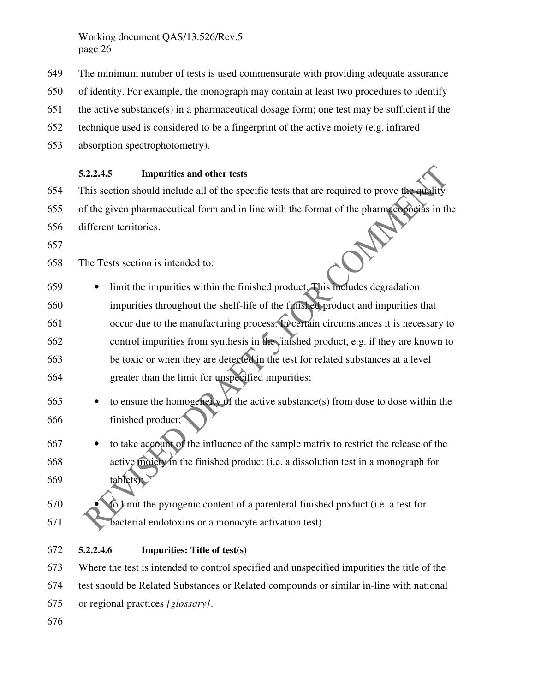- 649 The minimum number of tests is used commensurate with providing adequate assurance
- 650 of identity. For example, the monograph may contain at least two procedures to identify
- 651 the active substance(s) in a pharmaceutical dosage form; one test may be sufficient if the
- 652 technique used is considered to be a fingerprint of the active moiety (e.g. infrared
- 653 absorption spectrophotometry).

#### **5.2.2.4.5 Impurities and other tests**

- 654 This section should include all of the specific tests that are required to prove the quality
- 655 of the given pharmaceutical form and in line with the format of the pharmacopoeias in the
- 656 different territories.
- 657

658 The Tests section is intended to:

- 659 limit the impurities within the finished product. This includes degradation 660 impurities throughout the shelf-life of the finished product and impurities that 661 occur due to the manufacturing process. In certain circumstances it is necessary to 662 control impurities from synthesis in the finished product, e.g. if they are known to 663 be toxic or when they are detected in the test for related substances at a level 664 greater than the limit for unspecified impurities;
- 665 to ensure the homogeneity of the active substance(s) from dose to dose within the 666 finished product;
- 667 to take account of the influence of the sample matrix to restrict the release of the 668 active moiety in the finished product (i.e. a dissolution test in a monograph for 669 tablets);
- 670 to limit the pyrogenic content of a parenteral finished product (i.e. a test for 671 bacterial endotoxins or a monocyte activation test).
- 672 **5.2.2.4.6 Impurities: Title of test(s)**

673 Where the test is intended to control specified and unspecified impurities the title of the 674 test should be Related Substances or Related compounds or similar in-line with national 675 or regional practices *[glossary]*.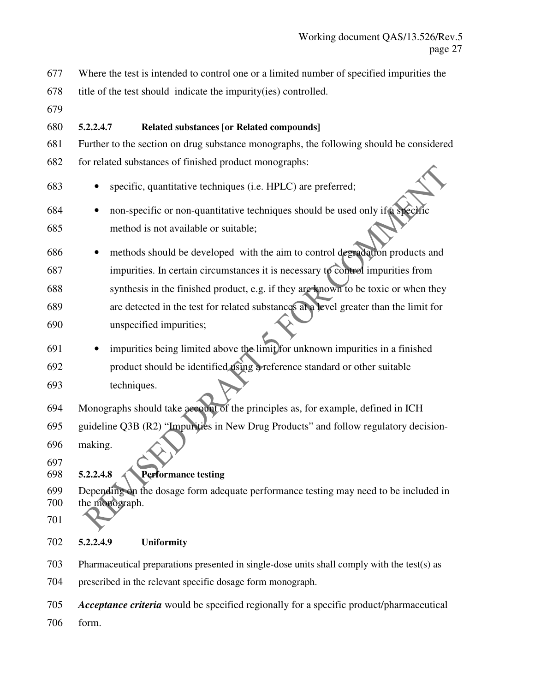677 Where the test is intended to control one or a limited number of specified impurities the

678 title of the test should indicate the impurity(ies) controlled.

679

### 680 **5.2.2.4.7 Related substances [or Related compounds]**

- 681 Further to the section on drug substance monographs, the following should be considered 682 for related substances of finished product monographs:
- 683 specific, quantitative techniques (i.e. HPLC) are preferred;
- 684 non-specific or non-quantitative techniques should be used only if a specific 685 method is not available or suitable;
- 686 methods should be developed with the aim to control degradation products and 687 impurities. In certain circumstances it is necessary to control impurities from 688 synthesis in the finished product, e.g. if they are known to be toxic or when they 689 are detected in the test for related substances at a level greater than the limit for 690 unspecified impurities;
- 691 impurities being limited above the limit for unknown impurities in a finished 692 product should be identified using a reference standard or other suitable 693 techniques.
- 694 Monographs should take account of the principles as, for example, defined in ICH 695 guideline Q3B (R2) "Impurities in New Drug Products" and follow regulatory decision-696 making.
- 697

# 698 **5.2.2.4.8 Performance testing**

- 699 Depending on the dosage form adequate performance testing may need to be included in 700 the monograph.
- 701

### 702 **5.2.2.4.9 Uniformity**

703 Pharmaceutical preparations presented in single-dose units shall comply with the test(s) as

704 prescribed in the relevant specific dosage form monograph.

705 *Acceptance criteria* would be specified regionally for a specific product/pharmaceutical

706 form.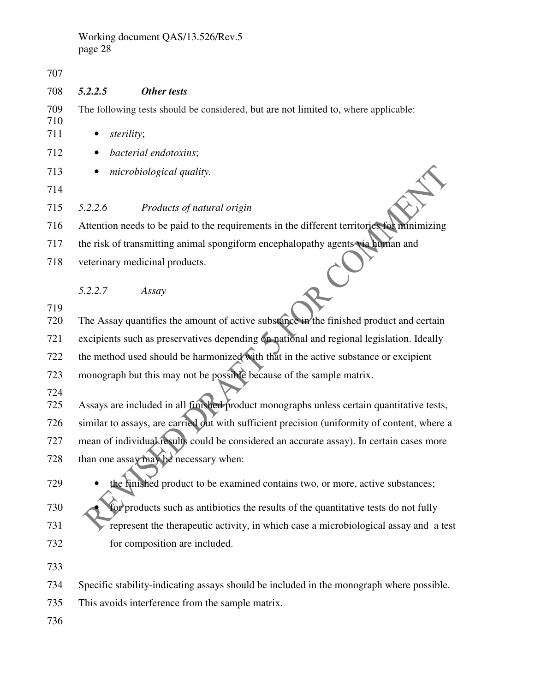707 708 *5.2.2.5 Other tests*  709 The following tests should be considered, but are not limited to, where applicable: 710 711 • *sterility*; 712 • *bacterial endotoxins*; 713 • *microbiological quality.* 714 715 *5.2.2.6 Products of natural origin* 716 Attention needs to be paid to the requirements in the different territories for minimizing 717 the risk of transmitting animal spongiform encephalopathy agents via human and 718 veterinary medicinal products. *5.2.2.7 Assay*  719 720 The Assay quantifies the amount of active substance in the finished product and certain 721 excipients such as preservatives depending on national and regional legislation. Ideally 722 the method used should be harmonized with that in the active substance or excipient 723 monograph but this may not be possible because of the sample matrix. 724 725 Assays are included in all finished product monographs unless certain quantitative tests, 726 similar to assays, are carried out with sufficient precision (uniformity of content, where a 727 mean of individual results could be considered an accurate assay). In certain cases more 728 than one assay may be necessary when: 729 • the finished product to be examined contains two, or more, active substances; 730 • for products such as antibiotics the results of the quantitative tests do not fully 731 represent the therapeutic activity, in which case a microbiological assay and a test 732 for composition are included. 733 734 Specific stability-indicating assays should be included in the monograph where possible. 735 This avoids interference from the sample matrix. 736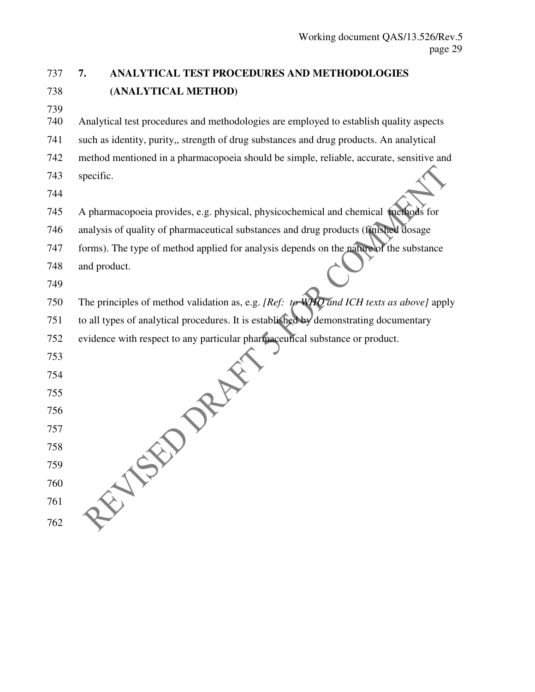# 737 **7. ANALYTICAL TEST PROCEDURES AND METHODOLOGIES**  738 **(ANALYTICAL METHOD)**

739

740 Analytical test procedures and methodologies are employed to establish quality aspects

741 such as identity, purity,, strength of drug substances and drug products. An analytical

742 method mentioned in a pharmacopoeia should be simple, reliable, accurate, sensitive and 743 specific.

744

745 A pharmacopoeia provides, e.g. physical, physicochemical and chemical methods for

746 analysis of quality of pharmaceutical substances and drug products (finished dosage

747 forms). The type of method applied for analysis depends on the nature of the substance

748 and product.

749

750 The principles of method validation as, e.g. *[Ref: to WHO and ICH texts as above]* apply

751 to all types of analytical procedures. It is established by demonstrating documentary

752 evidence with respect to any particular pharmaceutical substance or product.

753

754

755

756

757

758

759

760

761